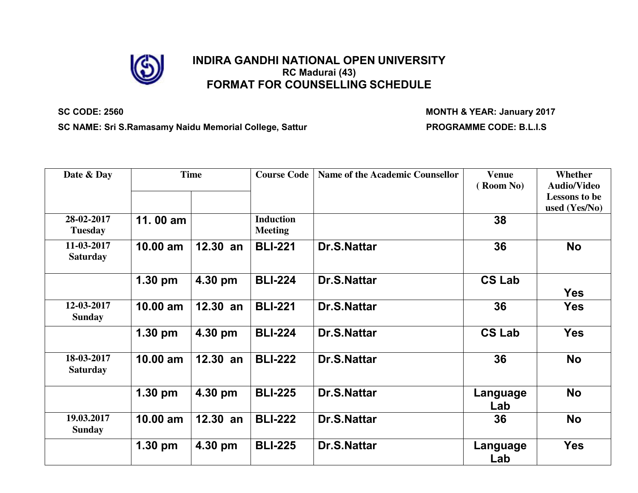

# **INDIRA GANDHI NATIONAL OPEN UNIVERSITY RC Madurai (43) FORMAT FOR COUNSELLING SCHEDULE**

**SC CODE: 2560 MONTH & YEAR: January 2017**

SC NAME: Sri S.Ramasamy Naidu Memorial College, Sattur **PROGRAMME CODE: B.L.I.S** 

| Date & Day                    |            | <b>Time</b> | <b>Course Code</b>                 | <b>Name of the Academic Counsellor</b> | <b>Venue</b><br>(Room No) | Whether<br><b>Audio/Video</b><br><b>Lessons to be</b><br>used (Yes/No) |
|-------------------------------|------------|-------------|------------------------------------|----------------------------------------|---------------------------|------------------------------------------------------------------------|
| 28-02-2017<br><b>Tuesday</b>  | 11.00 am   |             | <b>Induction</b><br><b>Meeting</b> |                                        | 38                        |                                                                        |
| 11-03-2017<br><b>Saturday</b> | $10.00$ am | 12.30<br>an | <b>BLI-221</b>                     | <b>Dr.S.Nattar</b>                     | 36                        | <b>No</b>                                                              |
|                               | 1.30 pm    | 4.30 pm     | <b>BLI-224</b>                     | <b>Dr.S.Nattar</b>                     | <b>CS Lab</b>             | <b>Yes</b>                                                             |
| 12-03-2017<br><b>Sunday</b>   | $10.00$ am | $12.30$ an  | <b>BLI-221</b>                     | <b>Dr.S.Nattar</b>                     | 36                        | Yes                                                                    |
|                               | $1.30$ pm  | 4.30 pm     | <b>BLI-224</b>                     | <b>Dr.S.Nattar</b>                     | <b>CS Lab</b>             | <b>Yes</b>                                                             |
| 18-03-2017<br><b>Saturday</b> | 10.00 am   | $12.30$ an  | <b>BLI-222</b>                     | <b>Dr.S.Nattar</b>                     | 36                        | <b>No</b>                                                              |
|                               | $1.30$ pm  | 4.30 pm     | <b>BLI-225</b>                     | <b>Dr.S.Nattar</b>                     | Language<br>Lab           | <b>No</b>                                                              |
| 19.03.2017<br><b>Sunday</b>   | $10.00$ am | $12.30$ an  | <b>BLI-222</b>                     | <b>Dr.S.Nattar</b>                     | 36                        | <b>No</b>                                                              |
|                               | $1.30$ pm  | 4.30 pm     | <b>BLI-225</b>                     | <b>Dr.S.Nattar</b>                     | Language<br>Lab           | <b>Yes</b>                                                             |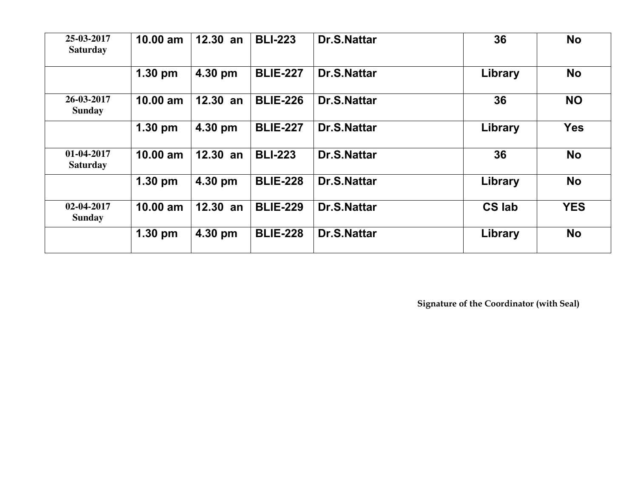| 25-03-2017<br><b>Saturday</b> | 10.00 am  | $12.30$ an | <b>BLI-223</b>  | <b>Dr.S.Nattar</b> | 36            | <b>No</b>  |
|-------------------------------|-----------|------------|-----------------|--------------------|---------------|------------|
|                               | $1.30$ pm | 4.30 pm    | <b>BLIE-227</b> | <b>Dr.S.Nattar</b> | Library       | <b>No</b>  |
| 26-03-2017<br><b>Sunday</b>   | 10.00 am  | $12.30$ an | <b>BLIE-226</b> | <b>Dr.S.Nattar</b> | 36            | <b>NO</b>  |
|                               | $1.30$ pm | 4.30 pm    | <b>BLIE-227</b> | <b>Dr.S.Nattar</b> | Library       | <b>Yes</b> |
| 01-04-2017<br><b>Saturday</b> | 10.00 am  | $12.30$ an | <b>BLI-223</b>  | <b>Dr.S.Nattar</b> | 36            | <b>No</b>  |
|                               | $1.30$ pm | 4.30 pm    | <b>BLIE-228</b> | <b>Dr.S.Nattar</b> | Library       | <b>No</b>  |
| 02-04-2017<br><b>Sunday</b>   | 10.00 am  | 12.30 an   | <b>BLIE-229</b> | <b>Dr.S.Nattar</b> | <b>CS lab</b> | <b>YES</b> |
|                               | $1.30$ pm | 4.30 pm    | <b>BLIE-228</b> | <b>Dr.S.Nattar</b> | Library       | <b>No</b>  |

**Signature of the Coordinator (with Seal)**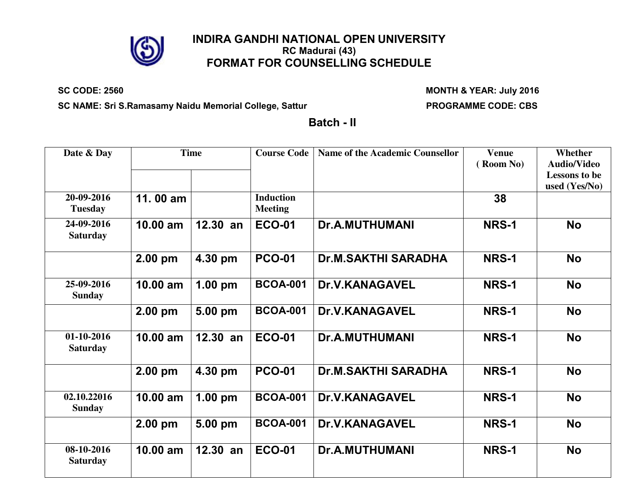

## **INDIRA GANDHI NATIONAL OPEN UNIVERSITY RC Madurai (43) FORMAT FOR COUNSELLING SCHEDULE**

#### **SC CODE: 2560 MONTH & YEAR: July 2016**

SC NAME: Sri S.Ramasamy Naidu Memorial College, Sattur **PROGRAMME CODE: CBS** 

**Batch - II**

| Date & Day                    |            | <b>Time</b>       | <b>Course Code</b>                 | <b>Name of the Academic Counsellor</b> | <b>Venue</b><br>(Room No) | Whether<br><b>Audio/Video</b><br><b>Lessons to be</b><br>used (Yes/No) |
|-------------------------------|------------|-------------------|------------------------------------|----------------------------------------|---------------------------|------------------------------------------------------------------------|
| 20-09-2016<br><b>Tuesday</b>  | 11.00 am   |                   | <b>Induction</b><br><b>Meeting</b> |                                        | 38                        |                                                                        |
| 24-09-2016<br><b>Saturday</b> | 10.00 am   | $12.30$ an        | <b>ECO-01</b>                      | <b>Dr.A.MUTHUMANI</b>                  | <b>NRS-1</b>              | <b>No</b>                                                              |
|                               | $2.00$ pm  | 4.30 pm           | <b>PCO-01</b>                      | <b>Dr.M.SAKTHI SARADHA</b>             | NRS-1                     | <b>No</b>                                                              |
| 25-09-2016<br><b>Sunday</b>   | $10.00$ am | $1.00 \text{ pm}$ | <b>BCOA-001</b>                    | <b>Dr.V.KANAGAVEL</b>                  | NRS-1                     | <b>No</b>                                                              |
|                               | $2.00$ pm  | 5.00 pm           | <b>BCOA-001</b>                    | <b>Dr.V.KANAGAVEL</b>                  | <b>NRS-1</b>              | <b>No</b>                                                              |
| 01-10-2016<br><b>Saturday</b> | 10.00 am   | $12.30$ an        | <b>ECO-01</b>                      | <b>Dr.A.MUTHUMANI</b>                  | <b>NRS-1</b>              | <b>No</b>                                                              |
|                               | 2.00 pm    | 4.30 pm           | <b>PCO-01</b>                      | <b>Dr.M.SAKTHI SARADHA</b>             | <b>NRS-1</b>              | <b>No</b>                                                              |
| 02.10.22016<br><b>Sunday</b>  | $10.00$ am | $1.00$ pm         | <b>BCOA-001</b>                    | <b>Dr.V.KANAGAVEL</b>                  | NRS-1                     | <b>No</b>                                                              |
|                               | 2.00 pm    | 5.00 pm           | <b>BCOA-001</b>                    | <b>Dr.V.KANAGAVEL</b>                  | <b>NRS-1</b>              | <b>No</b>                                                              |
| 08-10-2016<br><b>Saturday</b> | $10.00$ am | $12.30$ an        | <b>ECO-01</b>                      | <b>Dr.A.MUTHUMANI</b>                  | <b>NRS-1</b>              | <b>No</b>                                                              |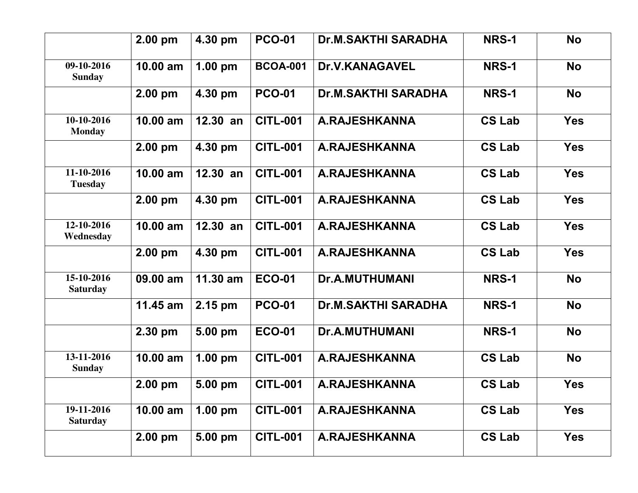|                               | $2.00$ pm  | 4.30 pm    | <b>PCO-01</b>   | <b>Dr.M.SAKTHI SARADHA</b> | <b>NRS-1</b>  | <b>No</b>  |
|-------------------------------|------------|------------|-----------------|----------------------------|---------------|------------|
| 09-10-2016<br><b>Sunday</b>   | $10.00$ am | $1.00$ pm  | <b>BCOA-001</b> | <b>Dr.V.KANAGAVEL</b>      | <b>NRS-1</b>  | <b>No</b>  |
|                               | $2.00$ pm  | 4.30 pm    | <b>PCO-01</b>   | <b>Dr.M.SAKTHI SARADHA</b> | <b>NRS-1</b>  | <b>No</b>  |
| 10-10-2016<br><b>Monday</b>   | $10.00$ am | $12.30$ an | <b>CITL-001</b> | <b>A.RAJESHKANNA</b>       | <b>CS Lab</b> | <b>Yes</b> |
|                               | $2.00$ pm  | 4.30 pm    | <b>CITL-001</b> | <b>A.RAJESHKANNA</b>       | <b>CS Lab</b> | <b>Yes</b> |
| 11-10-2016<br><b>Tuesday</b>  | 10.00 am   | 12.30 an   | <b>CITL-001</b> | <b>A.RAJESHKANNA</b>       | <b>CS Lab</b> | <b>Yes</b> |
|                               | 2.00 pm    | 4.30 pm    | <b>CITL-001</b> | <b>A.RAJESHKANNA</b>       | <b>CS Lab</b> | <b>Yes</b> |
| 12-10-2016<br>Wednesday       | 10.00 am   | 12.30 an   | <b>CITL-001</b> | <b>A.RAJESHKANNA</b>       | <b>CS Lab</b> | <b>Yes</b> |
|                               | $2.00$ pm  | 4.30 pm    | <b>CITL-001</b> | <b>A.RAJESHKANNA</b>       | <b>CS Lab</b> | <b>Yes</b> |
| 15-10-2016<br><b>Saturday</b> | 09.00 am   | $11.30$ am | <b>ECO-01</b>   | <b>Dr.A.MUTHUMANI</b>      | <b>NRS-1</b>  | <b>No</b>  |
|                               | $11.45$ am | 2.15 pm    | <b>PCO-01</b>   | <b>Dr.M.SAKTHI SARADHA</b> | <b>NRS-1</b>  | <b>No</b>  |
|                               | 2.30 pm    | 5.00 pm    | <b>ECO-01</b>   | <b>Dr.A.MUTHUMANI</b>      | <b>NRS-1</b>  | <b>No</b>  |
| 13-11-2016<br><b>Sunday</b>   | 10.00 am   | $1.00$ pm  | <b>CITL-001</b> | <b>A.RAJESHKANNA</b>       | <b>CS Lab</b> | <b>No</b>  |
|                               | 2.00 pm    | 5.00 pm    | <b>CITL-001</b> | <b>A.RAJESHKANNA</b>       | <b>CS Lab</b> | <b>Yes</b> |
| 19-11-2016<br><b>Saturday</b> | 10.00 am   | $1.00$ pm  | <b>CITL-001</b> | <b>A.RAJESHKANNA</b>       | <b>CS Lab</b> | <b>Yes</b> |
|                               | 2.00 pm    | 5.00 pm    | <b>CITL-001</b> | <b>A.RAJESHKANNA</b>       | <b>CS Lab</b> | <b>Yes</b> |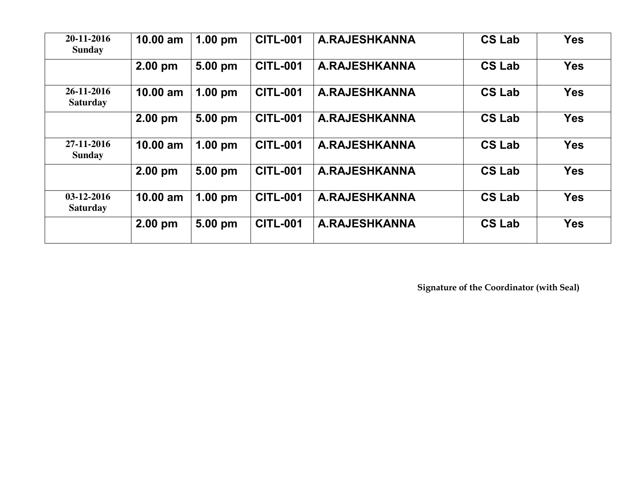| 20-11-2016<br><b>Sunday</b>   | 10.00 am   | $1.00$ pm         | <b>CITL-001</b> | <b>A.RAJESHKANNA</b> | <b>CS Lab</b> | <b>Yes</b> |
|-------------------------------|------------|-------------------|-----------------|----------------------|---------------|------------|
|                               | 2.00 pm    | 5.00 pm           | <b>CITL-001</b> | <b>A.RAJESHKANNA</b> | <b>CS Lab</b> | <b>Yes</b> |
| 26-11-2016<br><b>Saturday</b> | $10.00$ am | $1.00 \text{ pm}$ | <b>CITL-001</b> | <b>A.RAJESHKANNA</b> | <b>CS Lab</b> | <b>Yes</b> |
|                               | $2.00$ pm  | 5.00 pm           | <b>CITL-001</b> | A.RAJESHKANNA        | <b>CS Lab</b> | <b>Yes</b> |
| 27-11-2016<br><b>Sunday</b>   | $10.00$ am | $1.00$ pm         | <b>CITL-001</b> | <b>A.RAJESHKANNA</b> | <b>CS Lab</b> | <b>Yes</b> |
|                               | $2.00$ pm  | 5.00 pm           | <b>CITL-001</b> | <b>A.RAJESHKANNA</b> | <b>CS Lab</b> | <b>Yes</b> |
| 03-12-2016<br><b>Saturday</b> | $10.00$ am | $1.00$ pm         | <b>CITL-001</b> | <b>A.RAJESHKANNA</b> | <b>CS Lab</b> | <b>Yes</b> |
|                               | $2.00$ pm  | 5.00 pm           | <b>CITL-001</b> | A.RAJESHKANNA        | <b>CS Lab</b> | <b>Yes</b> |

**Signature of the Coordinator (with Seal)**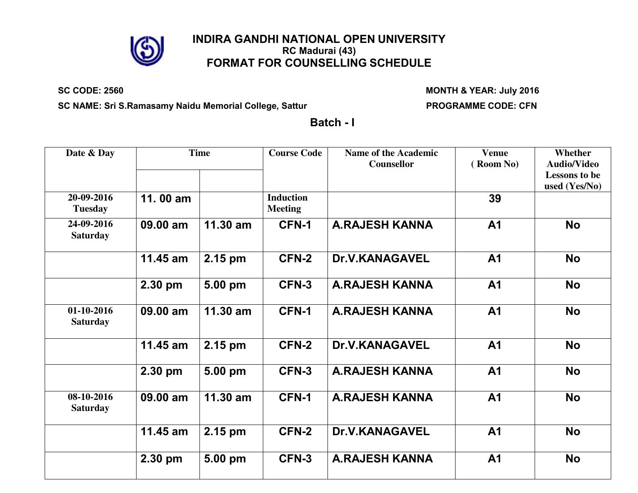

## **INDIRA GANDHI NATIONAL OPEN UNIVERSITY RC Madurai (43) FORMAT FOR COUNSELLING SCHEDULE**

### **SC CODE: 2560 MONTH & YEAR: July 2016**

SC NAME: Sri S.Ramasamy Naidu Memorial College, Sattur **PROGRAMME CODE: CFN** 

**Batch - I**

| Date & Day                    |          | <b>Time</b> | <b>Course Code</b>                 | <b>Name of the Academic</b><br>Counsellor | <b>Venue</b><br>(Room No) | Whether<br><b>Audio/Video</b><br><b>Lessons to be</b><br>used (Yes/No) |
|-------------------------------|----------|-------------|------------------------------------|-------------------------------------------|---------------------------|------------------------------------------------------------------------|
| 20-09-2016<br><b>Tuesday</b>  | 11.00 am |             | <b>Induction</b><br><b>Meeting</b> |                                           | 39                        |                                                                        |
| 24-09-2016<br><b>Saturday</b> | 09.00 am | 11.30 am    | <b>CFN-1</b>                       | <b>A.RAJESH KANNA</b>                     | <b>A1</b>                 | <b>No</b>                                                              |
|                               | 11.45 am | 2.15 pm     | CFN-2                              | <b>Dr.V.KANAGAVEL</b>                     | <b>A1</b>                 | <b>No</b>                                                              |
|                               | 2.30 pm  | 5.00 pm     | CFN-3                              | <b>A.RAJESH KANNA</b>                     | <b>A1</b>                 | <b>No</b>                                                              |
| 01-10-2016<br><b>Saturday</b> | 09.00 am | $11.30$ am  | <b>CFN-1</b>                       | <b>A.RAJESH KANNA</b>                     | A <sub>1</sub>            | <b>No</b>                                                              |
|                               | 11.45 am | 2.15 pm     | CFN-2                              | <b>Dr.V.KANAGAVEL</b>                     | <b>A1</b>                 | <b>No</b>                                                              |
|                               | 2.30 pm  | 5.00 pm     | CFN-3                              | <b>A.RAJESH KANNA</b>                     | <b>A1</b>                 | <b>No</b>                                                              |
| 08-10-2016<br><b>Saturday</b> | 09.00 am | 11.30 am    | CFN-1                              | <b>A.RAJESH KANNA</b>                     | A <sub>1</sub>            | <b>No</b>                                                              |
|                               | 11.45 am | 2.15 pm     | CFN-2                              | <b>Dr.V.KANAGAVEL</b>                     | <b>A1</b>                 | <b>No</b>                                                              |
|                               | 2.30 pm  | 5.00 pm     | CFN-3                              | <b>A.RAJESH KANNA</b>                     | <b>A1</b>                 | <b>No</b>                                                              |